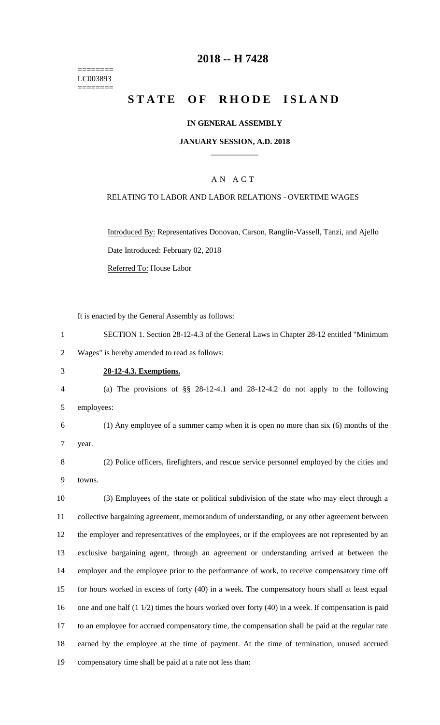======== LC003893 ========

# **2018 -- H 7428**

# **STATE OF RHODE ISLAND**

### **IN GENERAL ASSEMBLY**

### **JANUARY SESSION, A.D. 2018 \_\_\_\_\_\_\_\_\_\_\_\_**

### A N A C T

### RELATING TO LABOR AND LABOR RELATIONS - OVERTIME WAGES

Introduced By: Representatives Donovan, Carson, Ranglin-Vassell, Tanzi, and Ajello Date Introduced: February 02, 2018 Referred To: House Labor

It is enacted by the General Assembly as follows:

1 SECTION 1. Section 28-12-4.3 of the General Laws in Chapter 28-12 entitled "Minimum 2 Wages" is hereby amended to read as follows:

#### 3 **28-12-4.3. Exemptions.**

4 (a) The provisions of §§ 28-12-4.1 and 28-12-4.2 do not apply to the following 5 employees:

6 (1) Any employee of a summer camp when it is open no more than six (6) months of the

7 year.

8 (2) Police officers, firefighters, and rescue service personnel employed by the cities and 9 towns.

 (3) Employees of the state or political subdivision of the state who may elect through a collective bargaining agreement, memorandum of understanding, or any other agreement between the employer and representatives of the employees, or if the employees are not represented by an exclusive bargaining agent, through an agreement or understanding arrived at between the employer and the employee prior to the performance of work, to receive compensatory time off for hours worked in excess of forty (40) in a week. The compensatory hours shall at least equal 16 one and one half (1 1/2) times the hours worked over forty (40) in a week. If compensation is paid to an employee for accrued compensatory time, the compensation shall be paid at the regular rate earned by the employee at the time of payment. At the time of termination, unused accrued compensatory time shall be paid at a rate not less than: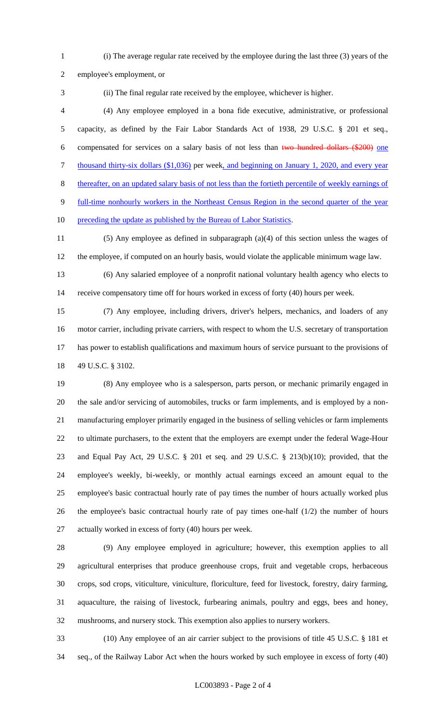(i) The average regular rate received by the employee during the last three (3) years of the

employee's employment, or

(ii) The final regular rate received by the employee, whichever is higher.

 (4) Any employee employed in a bona fide executive, administrative, or professional capacity, as defined by the Fair Labor Standards Act of 1938, 29 U.S.C. § 201 et seq., compensated for services on a salary basis of not less than two hundred dollars (\$200) one 7 thousand thirty-six dollars (\$1,036) per week, and beginning on January 1, 2020, and every year thereafter, on an updated salary basis of not less than the fortieth percentile of weekly earnings of full-time nonhourly workers in the Northeast Census Region in the second quarter of the year

10 preceding the update as published by the Bureau of Labor Statistics.

- (5) Any employee as defined in subparagraph (a)(4) of this section unless the wages of the employee, if computed on an hourly basis, would violate the applicable minimum wage law.
- (6) Any salaried employee of a nonprofit national voluntary health agency who elects to receive compensatory time off for hours worked in excess of forty (40) hours per week.
- (7) Any employee, including drivers, driver's helpers, mechanics, and loaders of any motor carrier, including private carriers, with respect to whom the U.S. secretary of transportation has power to establish qualifications and maximum hours of service pursuant to the provisions of 49 U.S.C. § 3102.
- (8) Any employee who is a salesperson, parts person, or mechanic primarily engaged in the sale and/or servicing of automobiles, trucks or farm implements, and is employed by a non- manufacturing employer primarily engaged in the business of selling vehicles or farm implements to ultimate purchasers, to the extent that the employers are exempt under the federal Wage-Hour and Equal Pay Act, 29 U.S.C. § 201 et seq. and 29 U.S.C. § 213(b)(10); provided, that the employee's weekly, bi-weekly, or monthly actual earnings exceed an amount equal to the employee's basic contractual hourly rate of pay times the number of hours actually worked plus the employee's basic contractual hourly rate of pay times one-half (1/2) the number of hours actually worked in excess of forty (40) hours per week.
- (9) Any employee employed in agriculture; however, this exemption applies to all agricultural enterprises that produce greenhouse crops, fruit and vegetable crops, herbaceous crops, sod crops, viticulture, viniculture, floriculture, feed for livestock, forestry, dairy farming, aquaculture, the raising of livestock, furbearing animals, poultry and eggs, bees and honey, mushrooms, and nursery stock. This exemption also applies to nursery workers.
- (10) Any employee of an air carrier subject to the provisions of title 45 U.S.C. § 181 et seq., of the Railway Labor Act when the hours worked by such employee in excess of forty (40)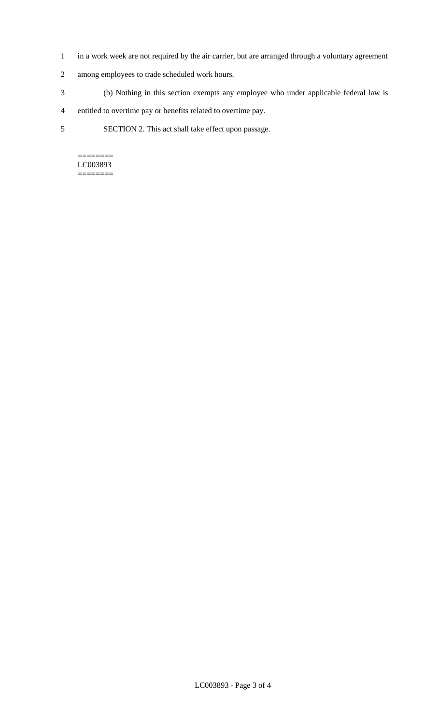- 1 in a work week are not required by the air carrier, but are arranged through a voluntary agreement
- 2 among employees to trade scheduled work hours.
- 3 (b) Nothing in this section exempts any employee who under applicable federal law is
- 4 entitled to overtime pay or benefits related to overtime pay.
- 5 SECTION 2. This act shall take effect upon passage.

======== LC003893 ========